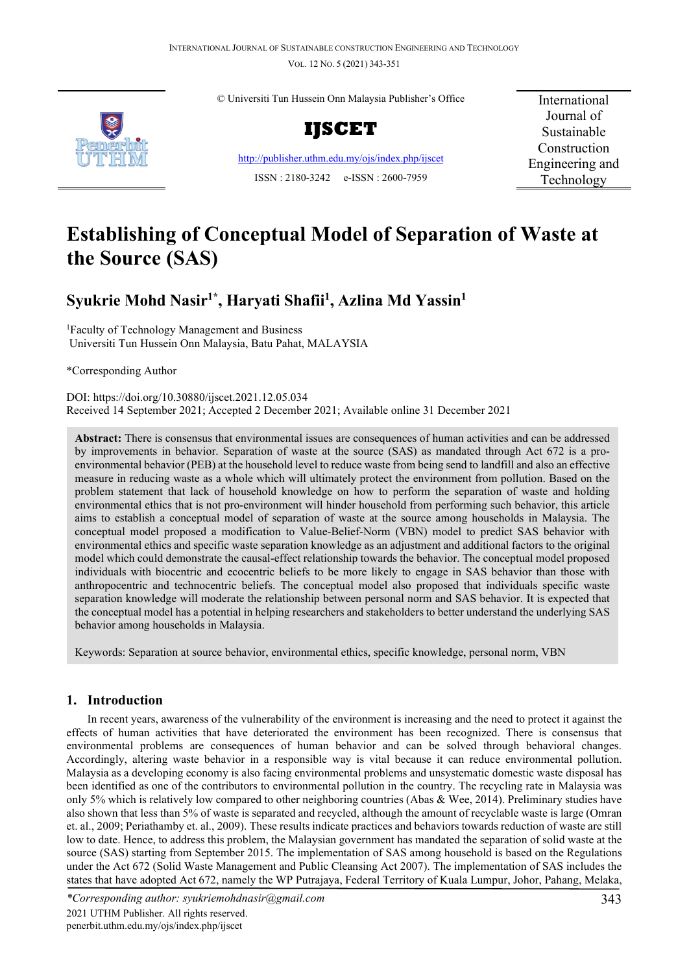VOL. 12 NO. 5 (2021) 343-351



© Universiti Tun Hussein Onn Malaysia Publisher's Office



<http://publisher.uthm.edu.my/ojs/index.php/ijscet> ISSN : 2180-3242 e-ISSN : 2600-7959

International Journal of Sustainable Construction Engineering and Technology

# **Establishing of Conceptual Model of Separation of Waste at the Source (SAS)**

## **Syukrie Mohd Nasir1\* , Haryati Shafii1 , Azlina Md Yassin1**

<sup>1</sup>Faculty of Technology Management and Business Universiti Tun Hussein Onn Malaysia, Batu Pahat, MALAYSIA

\*Corresponding Author

DOI: https://doi.org/10.30880/ijscet.2021.12.05.034 Received 14 September 2021; Accepted 2 December 2021; Available online 31 December 2021

**Abstract:** There is consensus that environmental issues are consequences of human activities and can be addressed by improvements in behavior. Separation of waste at the source (SAS) as mandated through Act 672 is a proenvironmental behavior (PEB) at the household level to reduce waste from being send to landfill and also an effective measure in reducing waste as a whole which will ultimately protect the environment from pollution. Based on the problem statement that lack of household knowledge on how to perform the separation of waste and holding environmental ethics that is not pro-environment will hinder household from performing such behavior, this article aims to establish a conceptual model of separation of waste at the source among households in Malaysia. The conceptual model proposed a modification to Value-Belief-Norm (VBN) model to predict SAS behavior with environmental ethics and specific waste separation knowledge as an adjustment and additional factors to the original model which could demonstrate the causal-effect relationship towards the behavior. The conceptual model proposed individuals with biocentric and ecocentric beliefs to be more likely to engage in SAS behavior than those with anthropocentric and technocentric beliefs. The conceptual model also proposed that individuals specific waste separation knowledge will moderate the relationship between personal norm and SAS behavior. It is expected that the conceptual model has a potential in helping researchers and stakeholders to better understand the underlying SAS behavior among households in Malaysia.

Keywords: Separation at source behavior, environmental ethics, specific knowledge, personal norm, VBN

## **1. Introduction**

In recent years, awareness of the vulnerability of the environment is increasing and the need to protect it against the effects of human activities that have deteriorated the environment has been recognized. There is consensus that environmental problems are consequences of human behavior and can be solved through behavioral changes. Accordingly, altering waste behavior in a responsible way is vital because it can reduce environmental pollution. Malaysia as a developing economy is also facing environmental problems and unsystematic domestic waste disposal has been identified as one of the contributors to environmental pollution in the country. The recycling rate in Malaysia was only 5% which is relatively low compared to other neighboring countries (Abas & Wee, 2014). Preliminary studies have also shown that less than 5% of waste is separated and recycled, although the amount of recyclable waste is large (Omran et. al., 2009; Periathamby et. al., 2009). These results indicate practices and behaviors towards reduction of waste are still low to date. Hence, to address this problem, the Malaysian government has mandated the separation of solid waste at the source (SAS) starting from September 2015. The implementation of SAS among household is based on the Regulations under the Act 672 (Solid Waste Management and Public Cleansing Act 2007). The implementation of SAS includes the states that have adopted Act 672, namely the WP Putrajaya, Federal Territory of Kuala Lumpur, Johor, Pahang, Melaka,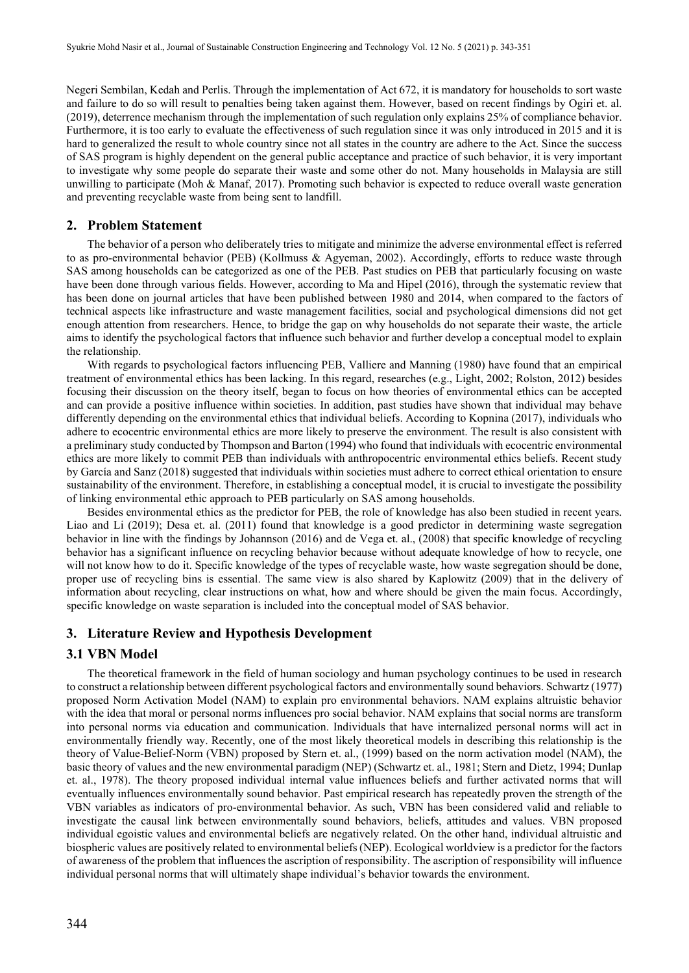Negeri Sembilan, Kedah and Perlis. Through the implementation of Act 672, it is mandatory for households to sort waste and failure to do so will result to penalties being taken against them. However, based on recent findings by Ogiri et. al. (2019), deterrence mechanism through the implementation of such regulation only explains 25% of compliance behavior. Furthermore, it is too early to evaluate the effectiveness of such regulation since it was only introduced in 2015 and it is hard to generalized the result to whole country since not all states in the country are adhere to the Act. Since the success of SAS program is highly dependent on the general public acceptance and practice of such behavior, it is very important to investigate why some people do separate their waste and some other do not. Many households in Malaysia are still unwilling to participate (Moh & Manaf, 2017). Promoting such behavior is expected to reduce overall waste generation and preventing recyclable waste from being sent to landfill.

#### **2. Problem Statement**

The behavior of a person who deliberately tries to mitigate and minimize the adverse environmental effect is referred to as pro-environmental behavior (PEB) (Kollmuss & Agyeman, 2002). Accordingly, efforts to reduce waste through SAS among households can be categorized as one of the PEB. Past studies on PEB that particularly focusing on waste have been done through various fields. However, according to Ma and Hipel (2016), through the systematic review that has been done on journal articles that have been published between 1980 and 2014, when compared to the factors of technical aspects like infrastructure and waste management facilities, social and psychological dimensions did not get enough attention from researchers. Hence, to bridge the gap on why households do not separate their waste, the article aims to identify the psychological factors that influence such behavior and further develop a conceptual model to explain the relationship.

With regards to psychological factors influencing PEB, Valliere and Manning (1980) have found that an empirical treatment of environmental ethics has been lacking. In this regard, researches (e.g., Light, 2002; Rolston, 2012) besides focusing their discussion on the theory itself, began to focus on how theories of environmental ethics can be accepted and can provide a positive influence within societies. In addition, past studies have shown that individual may behave differently depending on the environmental ethics that individual beliefs. According to Kopnina (2017), individuals who adhere to ecocentric environmental ethics are more likely to preserve the environment. The result is also consistent with a preliminary study conducted by Thompson and Barton (1994) who found that individuals with ecocentric environmental ethics are more likely to commit PEB than individuals with anthropocentric environmental ethics beliefs. Recent study by García and Sanz (2018) suggested that individuals within societies must adhere to correct ethical orientation to ensure sustainability of the environment. Therefore, in establishing a conceptual model, it is crucial to investigate the possibility of linking environmental ethic approach to PEB particularly on SAS among households.

Besides environmental ethics as the predictor for PEB, the role of knowledge has also been studied in recent years. Liao and Li (2019); Desa et. al. (2011) found that knowledge is a good predictor in determining waste segregation behavior in line with the findings by Johannson (2016) and de Vega et. al., (2008) that specific knowledge of recycling behavior has a significant influence on recycling behavior because without adequate knowledge of how to recycle, one will not know how to do it. Specific knowledge of the types of recyclable waste, how waste segregation should be done, proper use of recycling bins is essential. The same view is also shared by Kaplowitz (2009) that in the delivery of information about recycling, clear instructions on what, how and where should be given the main focus. Accordingly, specific knowledge on waste separation is included into the conceptual model of SAS behavior.

#### **3. Literature Review and Hypothesis Development**

#### **3.1 VBN Model**

The theoretical framework in the field of human sociology and human psychology continues to be used in research to construct a relationship between different psychological factors and environmentally sound behaviors. Schwartz (1977) proposed Norm Activation Model (NAM) to explain pro environmental behaviors. NAM explains altruistic behavior with the idea that moral or personal norms influences pro social behavior. NAM explains that social norms are transform into personal norms via education and communication. Individuals that have internalized personal norms will act in environmentally friendly way. Recently, one of the most likely theoretical models in describing this relationship is the theory of Value-Belief-Norm (VBN) proposed by Stern et. al., (1999) based on the norm activation model (NAM), the basic theory of values and the new environmental paradigm (NEP) (Schwartz et. al., 1981; Stern and Dietz, 1994; Dunlap et. al., 1978). The theory proposed individual internal value influences beliefs and further activated norms that will eventually influences environmentally sound behavior. Past empirical research has repeatedly proven the strength of the VBN variables as indicators of pro-environmental behavior. As such, VBN has been considered valid and reliable to investigate the causal link between environmentally sound behaviors, beliefs, attitudes and values. VBN proposed individual egoistic values and environmental beliefs are negatively related. On the other hand, individual altruistic and biospheric values are positively related to environmental beliefs (NEP). Ecological worldview is a predictor for the factors of awareness of the problem that influences the ascription of responsibility. The ascription of responsibility will influence individual personal norms that will ultimately shape individual's behavior towards the environment.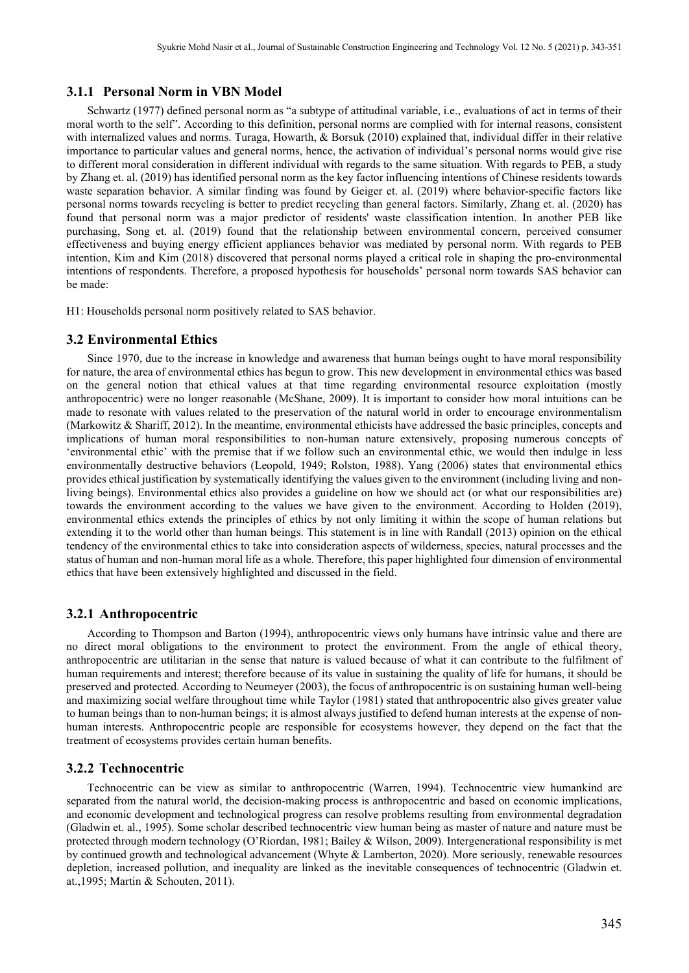## **3.1.1 Personal Norm in VBN Model**

Schwartz (1977) defined personal norm as "a subtype of attitudinal variable, i.e., evaluations of act in terms of their moral worth to the self". According to this definition, personal norms are complied with for internal reasons, consistent with internalized values and norms. Turaga, Howarth, & Borsuk (2010) explained that, individual differ in their relative importance to particular values and general norms, hence, the activation of individual's personal norms would give rise to different moral consideration in different individual with regards to the same situation. With regards to PEB, a study by Zhang et. al. (2019) has identified personal norm as the key factor influencing intentions of Chinese residents towards waste separation behavior. A similar finding was found by Geiger et. al. (2019) where behavior-specific factors like personal norms towards recycling is better to predict recycling than general factors. Similarly, Zhang et. al. (2020) has found that personal norm was a major predictor of residents' waste classification intention. In another PEB like purchasing, Song et. al. (2019) found that the relationship between environmental concern, perceived consumer effectiveness and buying energy efficient appliances behavior was mediated by personal norm. With regards to PEB intention, Kim and Kim (2018) discovered that personal norms played a critical role in shaping the pro-environmental intentions of respondents. Therefore, a proposed hypothesis for households' personal norm towards SAS behavior can be made:

H1: Households personal norm positively related to SAS behavior.

#### **3.2 Environmental Ethics**

Since 1970, due to the increase in knowledge and awareness that human beings ought to have moral responsibility for nature, the area of environmental ethics has begun to grow. This new development in environmental ethics was based on the general notion that ethical values at that time regarding environmental resource exploitation (mostly anthropocentric) were no longer reasonable (McShane, 2009). It is important to consider how moral intuitions can be made to resonate with values related to the preservation of the natural world in order to encourage environmentalism (Markowitz & Shariff, 2012). In the meantime, environmental ethicists have addressed the basic principles, concepts and implications of human moral responsibilities to non-human nature extensively, proposing numerous concepts of 'environmental ethic' with the premise that if we follow such an environmental ethic, we would then indulge in less environmentally destructive behaviors (Leopold, 1949; Rolston, 1988). Yang (2006) states that environmental ethics provides ethical justification by systematically identifying the values given to the environment (including living and nonliving beings). Environmental ethics also provides a guideline on how we should act (or what our responsibilities are) towards the environment according to the values we have given to the environment. According to Holden (2019), environmental ethics extends the principles of ethics by not only limiting it within the scope of human relations but extending it to the world other than human beings. This statement is in line with Randall (2013) opinion on the ethical tendency of the environmental ethics to take into consideration aspects of wilderness, species, natural processes and the status of human and non-human moral life as a whole. Therefore, this paper highlighted four dimension of environmental ethics that have been extensively highlighted and discussed in the field.

#### **3.2.1 Anthropocentric**

According to Thompson and Barton (1994), anthropocentric views only humans have intrinsic value and there are no direct moral obligations to the environment to protect the environment. From the angle of ethical theory, anthropocentric are utilitarian in the sense that nature is valued because of what it can contribute to the fulfilment of human requirements and interest; therefore because of its value in sustaining the quality of life for humans, it should be preserved and protected. According to Neumeyer (2003), the focus of anthropocentric is on sustaining human well-being and maximizing social welfare throughout time while Taylor (1981) stated that anthropocentric also gives greater value to human beings than to non-human beings; it is almost always justified to defend human interests at the expense of nonhuman interests. Anthropocentric people are responsible for ecosystems however, they depend on the fact that the treatment of ecosystems provides certain human benefits.

#### **3.2.2 Technocentric**

Technocentric can be view as similar to anthropocentric (Warren, 1994). Technocentric view humankind are separated from the natural world, the decision-making process is anthropocentric and based on economic implications, and economic development and technological progress can resolve problems resulting from environmental degradation (Gladwin et. al., 1995). Some scholar described technocentric view human being as master of nature and nature must be protected through modern technology (O'Riordan, 1981; Bailey & Wilson, 2009). Intergenerational responsibility is met by continued growth and technological advancement (Whyte & Lamberton, 2020). More seriously, renewable resources depletion, increased pollution, and inequality are linked as the inevitable consequences of technocentric (Gladwin et. at.,1995; Martin & Schouten, 2011).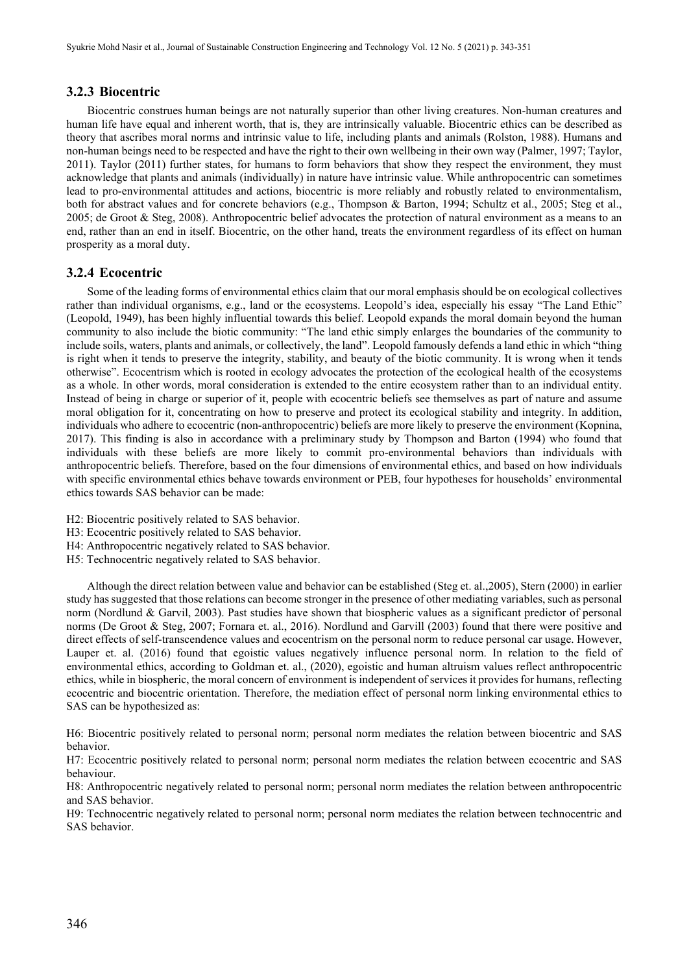## **3.2.3 Biocentric**

Biocentric construes human beings are not naturally superior than other living creatures. Non-human creatures and human life have equal and inherent worth, that is, they are intrinsically valuable. Biocentric ethics can be described as theory that ascribes moral norms and intrinsic value to life, including plants and animals (Rolston, 1988). Humans and non-human beings need to be respected and have the right to their own wellbeing in their own way (Palmer, 1997; Taylor, 2011). Taylor (2011) further states, for humans to form behaviors that show they respect the environment, they must acknowledge that plants and animals (individually) in nature have intrinsic value. While anthropocentric can sometimes lead to pro-environmental attitudes and actions, biocentric is more reliably and robustly related to environmentalism, both for abstract values and for concrete behaviors (e.g., Thompson & Barton, 1994; Schultz et al., 2005; Steg et al., 2005; de Groot & Steg, 2008). Anthropocentric belief advocates the protection of natural environment as a means to an end, rather than an end in itself. Biocentric, on the other hand, treats the environment regardless of its effect on human prosperity as a moral duty.

## **3.2.4 Ecocentric**

Some of the leading forms of environmental ethics claim that our moral emphasis should be on ecological collectives rather than individual organisms, e.g., land or the ecosystems. Leopold's idea, especially his essay "The Land Ethic" (Leopold, 1949), has been highly influential towards this belief. Leopold expands the moral domain beyond the human community to also include the biotic community: "The land ethic simply enlarges the boundaries of the community to include soils, waters, plants and animals, or collectively, the land". Leopold famously defends a land ethic in which "thing is right when it tends to preserve the integrity, stability, and beauty of the biotic community. It is wrong when it tends otherwise". Ecocentrism which is rooted in ecology advocates the protection of the ecological health of the ecosystems as a whole. In other words, moral consideration is extended to the entire ecosystem rather than to an individual entity. Instead of being in charge or superior of it, people with ecocentric beliefs see themselves as part of nature and assume moral obligation for it, concentrating on how to preserve and protect its ecological stability and integrity. In addition, individuals who adhere to ecocentric (non-anthropocentric) beliefs are more likely to preserve the environment (Kopnina, 2017). This finding is also in accordance with a preliminary study by Thompson and Barton (1994) who found that individuals with these beliefs are more likely to commit pro-environmental behaviors than individuals with anthropocentric beliefs. Therefore, based on the four dimensions of environmental ethics, and based on how individuals with specific environmental ethics behave towards environment or PEB, four hypotheses for households' environmental ethics towards SAS behavior can be made:

- H2: Biocentric positively related to SAS behavior.
- H3: Ecocentric positively related to SAS behavior.
- H4: Anthropocentric negatively related to SAS behavior.
- H5: Technocentric negatively related to SAS behavior.

Although the direct relation between value and behavior can be established (Steg et. al.,2005), Stern (2000) in earlier study has suggested that those relations can become stronger in the presence of other mediating variables, such as personal norm (Nordlund & Garvil, 2003). Past studies have shown that biospheric values as a significant predictor of personal norms (De Groot & Steg, 2007; Fornara et. al., 2016). Nordlund and Garvill (2003) found that there were positive and direct effects of self-transcendence values and ecocentrism on the personal norm to reduce personal car usage. However, Lauper et. al. (2016) found that egoistic values negatively influence personal norm. In relation to the field of environmental ethics, according to Goldman et. al., (2020), egoistic and human altruism values reflect anthropocentric ethics, while in biospheric, the moral concern of environment is independent of services it provides for humans, reflecting ecocentric and biocentric orientation. Therefore, the mediation effect of personal norm linking environmental ethics to SAS can be hypothesized as:

H6: Biocentric positively related to personal norm; personal norm mediates the relation between biocentric and SAS behavior.

H7: Ecocentric positively related to personal norm; personal norm mediates the relation between ecocentric and SAS behaviour.

H8: Anthropocentric negatively related to personal norm; personal norm mediates the relation between anthropocentric and SAS behavior.

H9: Technocentric negatively related to personal norm; personal norm mediates the relation between technocentric and SAS behavior.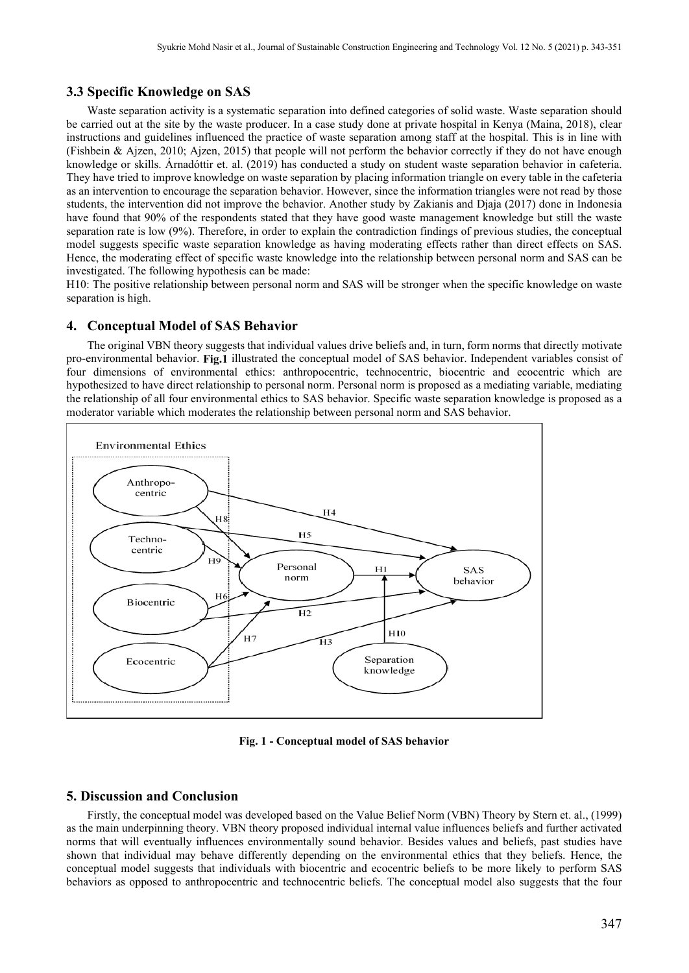## **3.3 Specific Knowledge on SAS**

Waste separation activity is a systematic separation into defined categories of solid waste. Waste separation should be carried out at the site by the waste producer. In a case study done at private hospital in Kenya (Maina, 2018), clear instructions and guidelines influenced the practice of waste separation among staff at the hospital. This is in line with (Fishbein & Ajzen, 2010; Ajzen, 2015) that people will not perform the behavior correctly if they do not have enough knowledge or skills. Árnadóttir et. al. (2019) has conducted a study on student waste separation behavior in cafeteria. They have tried to improve knowledge on waste separation by placing information triangle on every table in the cafeteria as an intervention to encourage the separation behavior. However, since the information triangles were not read by those students, the intervention did not improve the behavior. Another study by Zakianis and Djaja (2017) done in Indonesia have found that 90% of the respondents stated that they have good waste management knowledge but still the waste separation rate is low (9%). Therefore, in order to explain the contradiction findings of previous studies, the conceptual model suggests specific waste separation knowledge as having moderating effects rather than direct effects on SAS. Hence, the moderating effect of specific waste knowledge into the relationship between personal norm and SAS can be investigated. The following hypothesis can be made:

H10: The positive relationship between personal norm and SAS will be stronger when the specific knowledge on waste separation is high.

#### **4. Conceptual Model of SAS Behavior**

The original VBN theory suggests that individual values drive beliefs and, in turn, form norms that directly motivate pro-environmental behavior. **Fig.1** illustrated the conceptual model of SAS behavior. Independent variables consist of four dimensions of environmental ethics: anthropocentric, technocentric, biocentric and ecocentric which are hypothesized to have direct relationship to personal norm. Personal norm is proposed as a mediating variable, mediating the relationship of all four environmental ethics to SAS behavior. Specific waste separation knowledge is proposed as a moderator variable which moderates the relationship between personal norm and SAS behavior.



**Fig. 1 - Conceptual model of SAS behavior** 

### **5. Discussion and Conclusion**

Firstly, the conceptual model was developed based on the Value Belief Norm (VBN) Theory by Stern et. al., (1999) as the main underpinning theory. VBN theory proposed individual internal value influences beliefs and further activated norms that will eventually influences environmentally sound behavior. Besides values and beliefs, past studies have shown that individual may behave differently depending on the environmental ethics that they beliefs. Hence, the conceptual model suggests that individuals with biocentric and ecocentric beliefs to be more likely to perform SAS behaviors as opposed to anthropocentric and technocentric beliefs. The conceptual model also suggests that the four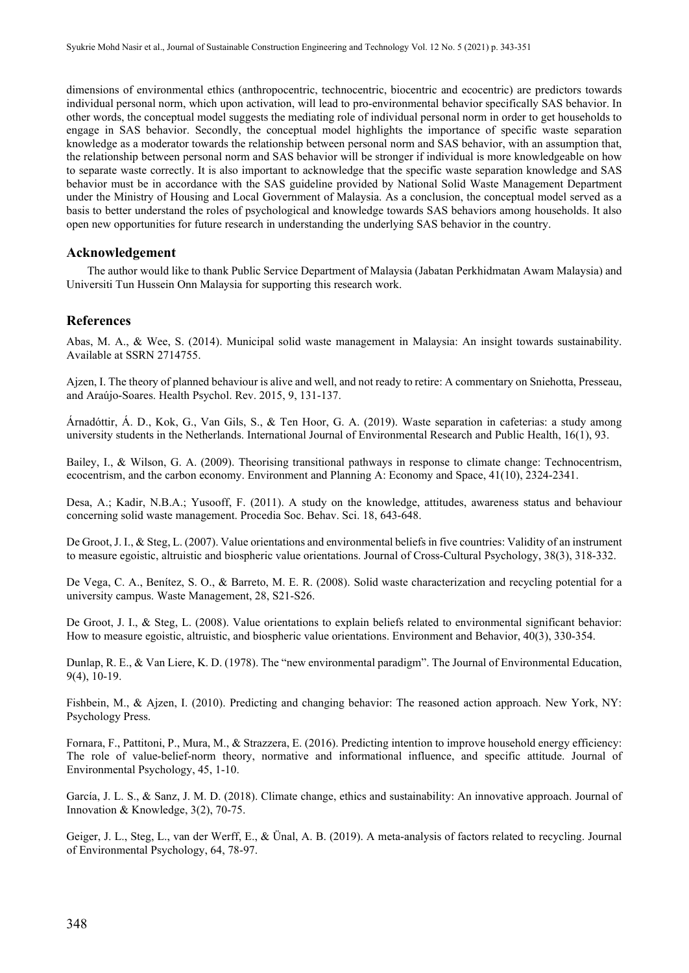dimensions of environmental ethics (anthropocentric, technocentric, biocentric and ecocentric) are predictors towards individual personal norm, which upon activation, will lead to pro-environmental behavior specifically SAS behavior. In other words, the conceptual model suggests the mediating role of individual personal norm in order to get households to engage in SAS behavior. Secondly, the conceptual model highlights the importance of specific waste separation knowledge as a moderator towards the relationship between personal norm and SAS behavior, with an assumption that, the relationship between personal norm and SAS behavior will be stronger if individual is more knowledgeable on how to separate waste correctly. It is also important to acknowledge that the specific waste separation knowledge and SAS behavior must be in accordance with the SAS guideline provided by National Solid Waste Management Department under the Ministry of Housing and Local Government of Malaysia. As a conclusion, the conceptual model served as a basis to better understand the roles of psychological and knowledge towards SAS behaviors among households. It also open new opportunities for future research in understanding the underlying SAS behavior in the country.

## **Acknowledgement**

The author would like to thank Public Service Department of Malaysia (Jabatan Perkhidmatan Awam Malaysia) and Universiti Tun Hussein Onn Malaysia for supporting this research work.

#### **References**

Abas, M. A., & Wee, S. (2014). Municipal solid waste management in Malaysia: An insight towards sustainability. Available at SSRN 2714755.

Ajzen, I. The theory of planned behaviour is alive and well, and not ready to retire: A commentary on Sniehotta, Presseau, and Araújo-Soares. Health Psychol. Rev. 2015, 9, 131-137.

Árnadóttir, Á. D., Kok, G., Van Gils, S., & Ten Hoor, G. A. (2019). Waste separation in cafeterias: a study among university students in the Netherlands. International Journal of Environmental Research and Public Health, 16(1), 93.

Bailey, I., & Wilson, G. A. (2009). Theorising transitional pathways in response to climate change: Technocentrism, ecocentrism, and the carbon economy. Environment and Planning A: Economy and Space, 41(10), 2324-2341.

Desa, A.; Kadir, N.B.A.; Yusooff, F. (2011). A study on the knowledge, attitudes, awareness status and behaviour concerning solid waste management. Procedia Soc. Behav. Sci. 18, 643-648.

De Groot, J. I., & Steg, L. (2007). Value orientations and environmental beliefs in five countries: Validity of an instrument to measure egoistic, altruistic and biospheric value orientations. Journal of Cross-Cultural Psychology, 38(3), 318-332.

De Vega, C. A., Benítez, S. O., & Barreto, M. E. R. (2008). Solid waste characterization and recycling potential for a university campus. Waste Management, 28, S21-S26.

De Groot, J. I., & Steg, L. (2008). Value orientations to explain beliefs related to environmental significant behavior: How to measure egoistic, altruistic, and biospheric value orientations. Environment and Behavior, 40(3), 330-354.

Dunlap, R. E., & Van Liere, K. D. (1978). The "new environmental paradigm". The Journal of Environmental Education, 9(4), 10-19.

Fishbein, M., & Ajzen, I. (2010). Predicting and changing behavior: The reasoned action approach. New York, NY: Psychology Press.

Fornara, F., Pattitoni, P., Mura, M., & Strazzera, E. (2016). Predicting intention to improve household energy efficiency: The role of value-belief-norm theory, normative and informational influence, and specific attitude. Journal of Environmental Psychology, 45, 1-10.

García, J. L. S., & Sanz, J. M. D. (2018). Climate change, ethics and sustainability: An innovative approach. Journal of Innovation & Knowledge, 3(2), 70-75.

Geiger, J. L., Steg, L., van der Werff, E., & Ünal, A. B. (2019). A meta-analysis of factors related to recycling. Journal of Environmental Psychology, 64, 78-97.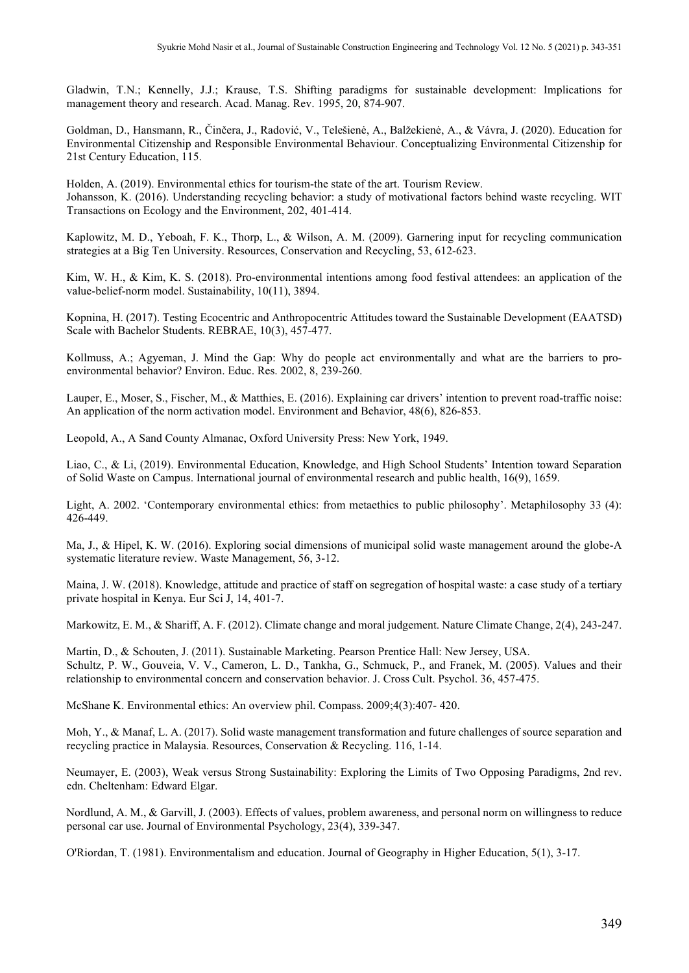Gladwin, T.N.; Kennelly, J.J.; Krause, T.S. Shifting paradigms for sustainable development: Implications for management theory and research. Acad. Manag. Rev. 1995, 20, 874-907.

Goldman, D., Hansmann, R., Činčera, J., Radović, V., Telešienė, A., Balžekienė, A., & Vávra, J. (2020). Education for Environmental Citizenship and Responsible Environmental Behaviour. Conceptualizing Environmental Citizenship for 21st Century Education, 115.

Holden, A. (2019). Environmental ethics for tourism-the state of the art. Tourism Review. Johansson, K. (2016). Understanding recycling behavior: a study of motivational factors behind waste recycling. WIT Transactions on Ecology and the Environment, 202, 401-414.

Kaplowitz, M. D., Yeboah, F. K., Thorp, L., & Wilson, A. M. (2009). Garnering input for recycling communication strategies at a Big Ten University. Resources, Conservation and Recycling, 53, 612-623.

Kim, W. H., & Kim, K. S. (2018). Pro-environmental intentions among food festival attendees: an application of the value-belief-norm model. Sustainability, 10(11), 3894.

Kopnina, H. (2017). Testing Ecocentric and Anthropocentric Attitudes toward the Sustainable Development (EAATSD) Scale with Bachelor Students. REBRAE, 10(3), 457-477.

Kollmuss, A.; Agyeman, J. Mind the Gap: Why do people act environmentally and what are the barriers to proenvironmental behavior? Environ. Educ. Res. 2002, 8, 239-260.

Lauper, E., Moser, S., Fischer, M., & Matthies, E. (2016). Explaining car drivers' intention to prevent road-traffic noise: An application of the norm activation model. Environment and Behavior, 48(6), 826-853.

Leopold, A., A Sand County Almanac, Oxford University Press: New York, 1949.

Liao, C., & Li, (2019). Environmental Education, Knowledge, and High School Students' Intention toward Separation of Solid Waste on Campus. International journal of environmental research and public health, 16(9), 1659.

Light, A. 2002. 'Contemporary environmental ethics: from metaethics to public philosophy'. Metaphilosophy 33 (4): 426-449.

Ma, J., & Hipel, K. W. (2016). Exploring social dimensions of municipal solid waste management around the globe-A systematic literature review. Waste Management, 56, 3-12.

Maina, J. W. (2018). Knowledge, attitude and practice of staff on segregation of hospital waste: a case study of a tertiary private hospital in Kenya. Eur Sci J, 14, 401-7.

Markowitz, E. M., & Shariff, A. F. (2012). Climate change and moral judgement. Nature Climate Change, 2(4), 243-247.

Martin, D., & Schouten, J. (2011). Sustainable Marketing. Pearson Prentice Hall: New Jersey, USA. Schultz, P. W., Gouveia, V. V., Cameron, L. D., Tankha, G., Schmuck, P., and Franek, M. (2005). Values and their relationship to environmental concern and conservation behavior. J. Cross Cult. Psychol. 36, 457-475.

McShane K. Environmental ethics: An overview phil. Compass. 2009;4(3):407- 420.

Moh, Y., & Manaf, L. A. (2017). Solid waste management transformation and future challenges of source separation and recycling practice in Malaysia. Resources, Conservation & Recycling. 116, 1-14.

Neumayer, E. (2003), Weak versus Strong Sustainability: Exploring the Limits of Two Opposing Paradigms, 2nd rev. edn. Cheltenham: Edward Elgar.

Nordlund, A. M., & Garvill, J. (2003). Effects of values, problem awareness, and personal norm on willingness to reduce personal car use. Journal of Environmental Psychology, 23(4), 339-347.

O'Riordan, T. (1981). Environmentalism and education. Journal of Geography in Higher Education, 5(1), 3-17.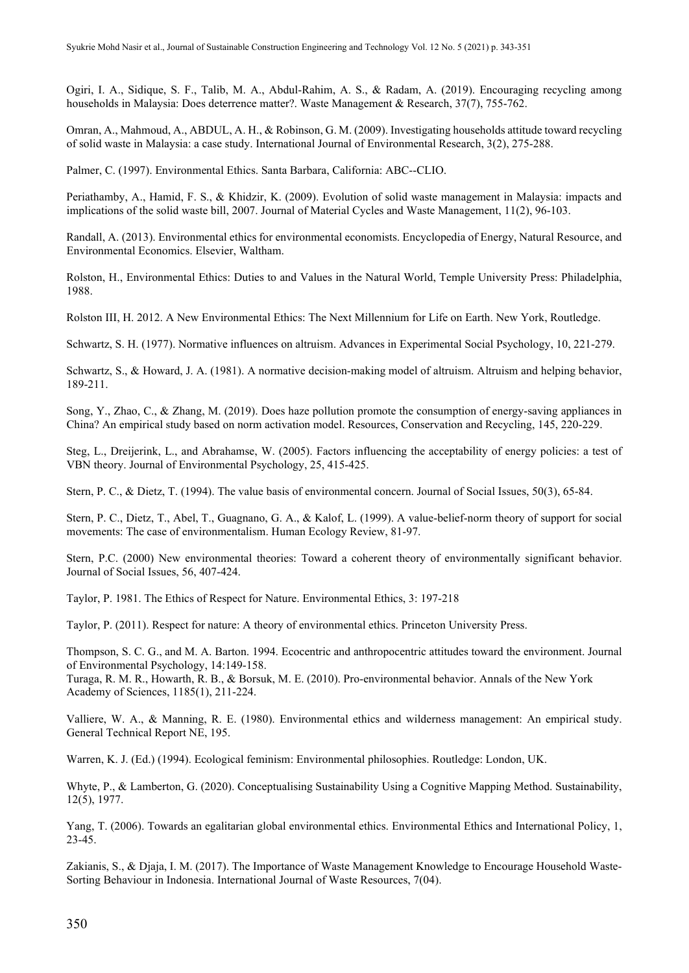Ogiri, I. A., Sidique, S. F., Talib, M. A., Abdul-Rahim, A. S., & Radam, A. (2019). Encouraging recycling among households in Malaysia: Does deterrence matter?. Waste Management & Research, 37(7), 755-762.

Omran, A., Mahmoud, A., ABDUL, A. H., & Robinson, G. M. (2009). Investigating households attitude toward recycling of solid waste in Malaysia: a case study. International Journal of Environmental Research, 3(2), 275-288.

Palmer, C. (1997). Environmental Ethics. Santa Barbara, California: ABC--CLIO.

Periathamby, A., Hamid, F. S., & Khidzir, K. (2009). Evolution of solid waste management in Malaysia: impacts and implications of the solid waste bill, 2007. Journal of Material Cycles and Waste Management, 11(2), 96-103.

Randall, A. (2013). Environmental ethics for environmental economists. Encyclopedia of Energy, Natural Resource, and Environmental Economics. Elsevier, Waltham.

Rolston, H., Environmental Ethics: Duties to and Values in the Natural World, Temple University Press: Philadelphia, 1988.

Rolston III, H. 2012. A New Environmental Ethics: The Next Millennium for Life on Earth. New York, Routledge.

Schwartz, S. H. (1977). Normative influences on altruism. Advances in Experimental Social Psychology, 10, 221-279.

Schwartz, S., & Howard, J. A. (1981). A normative decision-making model of altruism. Altruism and helping behavior, 189-211.

Song, Y., Zhao, C., & Zhang, M. (2019). Does haze pollution promote the consumption of energy-saving appliances in China? An empirical study based on norm activation model. Resources, Conservation and Recycling, 145, 220-229.

Steg, L., Dreijerink, L., and Abrahamse, W. (2005). Factors influencing the acceptability of energy policies: a test of VBN theory. Journal of Environmental Psychology, 25, 415-425.

Stern, P. C., & Dietz, T. (1994). The value basis of environmental concern. Journal of Social Issues, 50(3), 65-84.

Stern, P. C., Dietz, T., Abel, T., Guagnano, G. A., & Kalof, L. (1999). A value-belief-norm theory of support for social movements: The case of environmentalism. Human Ecology Review, 81-97.

Stern, P.C. (2000) New environmental theories: Toward a coherent theory of environmentally significant behavior. Journal of Social Issues, 56, 407-424.

Taylor, P. 1981. The Ethics of Respect for Nature. Environmental Ethics, 3: 197-218

Taylor, P. (2011). Respect for nature: A theory of environmental ethics. Princeton University Press.

Thompson, S. C. G., and M. A. Barton. 1994. Ecocentric and anthropocentric attitudes toward the environment. Journal of Environmental Psychology, 14:149-158.

Turaga, R. M. R., Howarth, R. B., & Borsuk, M. E. (2010). Pro-environmental behavior. Annals of the New York Academy of Sciences, 1185(1), 211-224.

Valliere, W. A., & Manning, R. E. (1980). Environmental ethics and wilderness management: An empirical study. General Technical Report NE, 195.

Warren, K. J. (Ed.) (1994). Ecological feminism: Environmental philosophies. Routledge: London, UK.

Whyte, P., & Lamberton, G. (2020). Conceptualising Sustainability Using a Cognitive Mapping Method. Sustainability, 12(5), 1977.

Yang, T. (2006). Towards an egalitarian global environmental ethics. Environmental Ethics and International Policy, 1, 23-45.

Zakianis, S., & Djaja, I. M. (2017). The Importance of Waste Management Knowledge to Encourage Household Waste-Sorting Behaviour in Indonesia. International Journal of Waste Resources, 7(04).